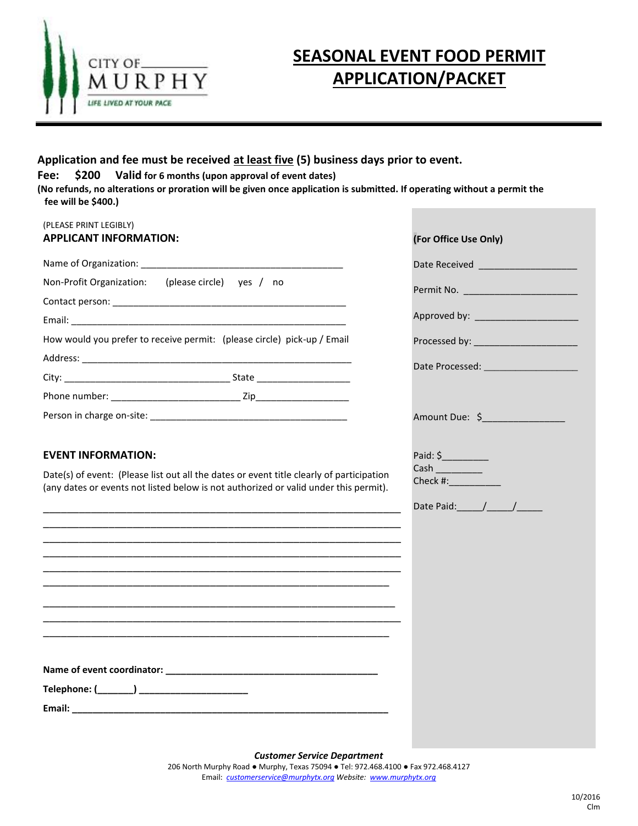

### **Application and fee must be received at least five (5) business days prior to event.**

### **Fee: \$200 Valid for 6 months (upon approval of event dates)**

**(No refunds, no alterations or proration will be given once application is submitted. If operating without a permit the fee will be \$400.)**

| (PLEASE PRINT LEGIBLY)<br><b>APPLICANT INFORMATION:</b>                                                                                                                                                                                                                                                                                     | (For Office Use Only)              |
|---------------------------------------------------------------------------------------------------------------------------------------------------------------------------------------------------------------------------------------------------------------------------------------------------------------------------------------------|------------------------------------|
|                                                                                                                                                                                                                                                                                                                                             | Date Received ____________________ |
| Non-Profit Organization: (please circle) yes / no                                                                                                                                                                                                                                                                                           |                                    |
|                                                                                                                                                                                                                                                                                                                                             |                                    |
|                                                                                                                                                                                                                                                                                                                                             |                                    |
| How would you prefer to receive permit: (please circle) pick-up / Email                                                                                                                                                                                                                                                                     |                                    |
|                                                                                                                                                                                                                                                                                                                                             |                                    |
|                                                                                                                                                                                                                                                                                                                                             |                                    |
|                                                                                                                                                                                                                                                                                                                                             |                                    |
|                                                                                                                                                                                                                                                                                                                                             | Amount Due: \$________________     |
| (any dates or events not listed below is not authorized or valid under this permit).<br><u> 1989 - Johann John Stone, markin sanat masjid a shekara ta 1989 - An tsarat masjid a shekara ta 1980 - An tsa</u><br><u> 1989 - Johann Stoff, amerikansk politiker (d. 1989)</u><br><u> 1989 - Johann Stoff, amerikansk politiker (d. 1989)</u> |                                    |
| Email: <u>Alexander Alexander and Alexander and Alexander and Alexander and Alexander and Alexander and Alexander</u>                                                                                                                                                                                                                       |                                    |

*Customer Service Department*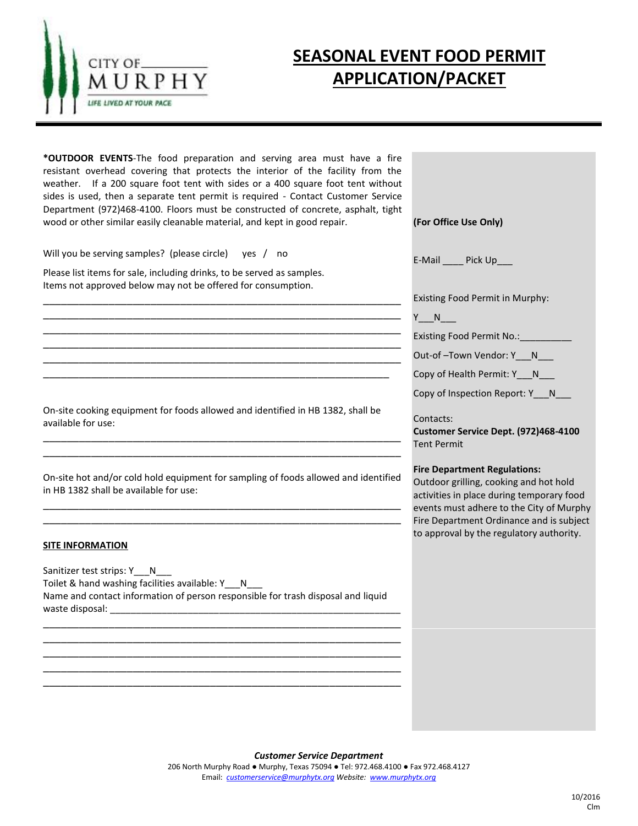

**\*OUTDOOR EVENTS**-The food preparation and serving area must have a fire resistant overhead covering that protects the interior of the facility from the weather. If a 200 square foot tent with sides or a 400 square foot tent without sides is used, then a separate tent permit is required - Contact Customer Service Department (972)468-4100. Floors must be constructed of concrete, asphalt, tight wood or other similar easily cleanable material, and kept in good repair.

\_\_\_\_\_\_\_\_\_\_\_\_\_\_\_\_\_\_\_\_\_\_\_\_\_\_\_\_\_\_\_\_\_\_\_\_\_\_\_\_\_\_\_\_\_\_\_\_\_\_\_\_\_\_\_\_\_\_\_\_ \_\_\_\_\_\_\_\_\_\_\_\_\_\_\_\_\_\_\_\_\_\_\_\_\_\_\_\_\_\_\_\_\_\_\_\_\_\_\_\_\_\_\_\_\_\_\_\_\_\_\_\_\_\_\_\_\_\_\_\_ \_\_\_\_\_\_\_\_\_\_\_\_\_\_\_\_\_\_\_\_\_\_\_\_\_\_\_\_\_\_\_\_\_\_\_\_\_\_\_\_\_\_\_\_\_\_\_\_\_\_\_\_\_\_\_\_\_\_\_\_ \_\_\_\_\_\_\_\_\_\_\_\_\_\_\_\_\_\_\_\_\_\_\_\_\_\_\_\_\_\_\_\_\_\_\_\_\_\_\_\_\_\_\_\_\_\_\_\_\_\_\_\_\_\_\_\_\_\_\_\_ \_\_\_\_\_\_\_\_\_\_\_\_\_\_\_\_\_\_\_\_\_\_\_\_\_\_\_\_\_\_\_\_\_\_\_\_\_\_\_\_\_\_\_\_\_\_\_\_\_\_\_\_\_\_\_\_\_\_\_\_ \_\_\_\_\_\_\_\_\_\_\_\_\_\_\_\_\_\_\_\_\_\_\_\_\_\_\_\_\_\_\_\_\_\_\_\_\_\_\_\_\_\_\_\_\_\_\_\_\_\_\_\_\_\_\_\_\_\_

Will you be serving samples? (please circle) yes / no

Please list items for sale, including drinks, to be served as samples. Items not approved below may not be offered for consumption.

On-site cooking equipment for foods allowed and identified in HB 1382, shall be available for use:

On-site hot and/or cold hold equipment for sampling of foods allowed and identified in HB 1382 shall be available for use:

\_\_\_\_\_\_\_\_\_\_\_\_\_\_\_\_\_\_\_\_\_\_\_\_\_\_\_\_\_\_\_\_\_\_\_\_\_\_\_\_\_\_\_\_\_\_\_\_\_\_\_\_\_\_\_\_\_\_\_\_ \_\_\_\_\_\_\_\_\_\_\_\_\_\_\_\_\_\_\_\_\_\_\_\_\_\_\_\_\_\_\_\_\_\_\_\_\_\_\_\_\_\_\_\_\_\_\_\_\_\_\_\_\_\_\_\_\_\_\_\_

\_\_\_\_\_\_\_\_\_\_\_\_\_\_\_\_\_\_\_\_\_\_\_\_\_\_\_\_\_\_\_\_\_\_\_\_\_\_\_\_\_\_\_\_\_\_\_\_\_\_\_\_\_\_\_\_\_\_\_\_ \_\_\_\_\_\_\_\_\_\_\_\_\_\_\_\_\_\_\_\_\_\_\_\_\_\_\_\_\_\_\_\_\_\_\_\_\_\_\_\_\_\_\_\_\_\_\_\_\_\_\_\_\_\_\_\_\_\_\_\_

#### **SITE INFORMATION**

Sanitizer test strips: Y\_\_\_N\_ Toilet & hand washing facilities available: Y\_\_\_N\_\_\_\_\_\_\_\_\_\_\_\_\_\_\_\_\_\_\_\_\_\_\_\_\_\_\_\_\_\_\_ Name and contact information of person responsible for trash disposal and liquid waste disposal: \_\_\_\_\_\_\_\_\_\_\_\_\_\_\_\_\_\_\_\_\_\_\_\_\_\_\_\_\_\_\_\_\_\_\_\_\_\_\_\_\_\_\_\_\_\_\_\_\_\_\_\_\_\_\_\_

\_\_\_\_\_\_\_\_\_\_\_\_\_\_\_\_\_\_\_\_\_\_\_\_\_\_\_\_\_\_\_\_\_\_\_\_\_\_\_\_\_\_\_\_\_\_\_\_\_\_\_\_\_\_\_\_\_\_\_\_ \_\_\_\_\_\_\_\_\_\_\_\_\_\_\_\_\_\_\_\_\_\_\_\_\_\_\_\_\_\_\_\_\_\_\_\_\_\_\_\_\_\_\_\_\_\_\_\_\_\_\_\_\_\_\_\_\_\_\_\_ \_\_\_\_\_\_\_\_\_\_\_\_\_\_\_\_\_\_\_\_\_\_\_\_\_\_\_\_\_\_\_\_\_\_\_\_\_\_\_\_\_\_\_\_\_\_\_\_\_\_\_\_\_\_\_\_\_\_\_\_ \_\_\_\_\_\_\_\_\_\_\_\_\_\_\_\_\_\_\_\_\_\_\_\_\_\_\_\_\_\_\_\_\_\_\_\_\_\_\_\_\_\_\_\_\_\_\_\_\_\_\_\_\_\_\_\_\_\_\_\_ \_\_\_\_\_\_\_\_\_\_\_\_\_\_\_\_\_\_\_\_\_\_\_\_\_\_\_\_\_\_\_\_\_\_\_\_\_\_\_\_\_\_\_\_\_\_\_\_\_\_\_\_\_\_\_\_\_\_\_\_

**(For Office Use Only)**

E-Mail Pick Up

Existing Food Permit in Murphy:

 $Y_{n}$  N

Existing Food Permit No.: \_\_\_\_\_\_\_\_\_

Out-of-Town Vendor: Y N

Copy of Health Permit: Y\_\_\_N\_\_\_

Copy of Inspection Report: Y N

Contacts:

**Customer Service Dept. (972)468-4100**  Tent Permit

#### **Fire Department Regulations:**

Outdoor grilling, cooking and hot hold activities in place during temporary food events must adhere to the City of Murphy Fire Department Ordinance and is subject to approval by the regulatory authority.

*Customer Service Department*

206 North Murphy Road ● Murphy, Texas 75094 ● Tel: 972.468.4100 ● Fax 972.468.4127 Email: *[customerservice@murphytx.org](mailto:customerservice@murphytx.org) Website: [www.murphytx.org](http://www.murphytx.org/)*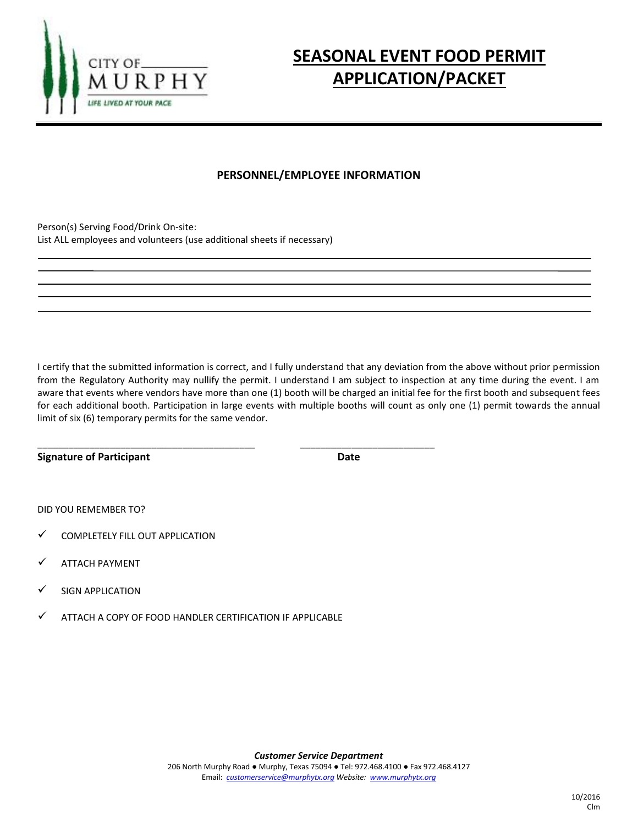

### **PERSONNEL/EMPLOYEE INFORMATION**

Person(s) Serving Food/Drink On-site: List ALL employees and volunteers (use additional sheets if necessary)

I certify that the submitted information is correct, and I fully understand that any deviation from the above without prior permission from the Regulatory Authority may nullify the permit. I understand I am subject to inspection at any time during the event. I am aware that events where vendors have more than one (1) booth will be charged an initial fee for the first booth and subsequent fees for each additional booth. Participation in large events with multiple booths will count as only one (1) permit towards the annual limit of six (6) temporary permits for the same vendor.

**Signature of Participant Community Community Community Community Community Community Community Community Community** 

DID YOU REMEMBER TO?

- $\checkmark$  COMPLETELY FILL OUT APPLICATION
- ATTACH PAYMENT
- SIGN APPLICATION
- ATTACH A COPY OF FOOD HANDLER CERTIFICATION IF APPLICABLE

\_\_\_\_\_\_\_\_\_\_\_\_\_\_\_\_\_\_\_\_\_\_\_\_\_\_\_\_\_\_\_\_\_\_\_\_\_\_\_\_\_\_ \_\_\_\_\_\_\_\_\_\_\_\_\_\_\_\_\_\_\_\_\_\_\_\_\_\_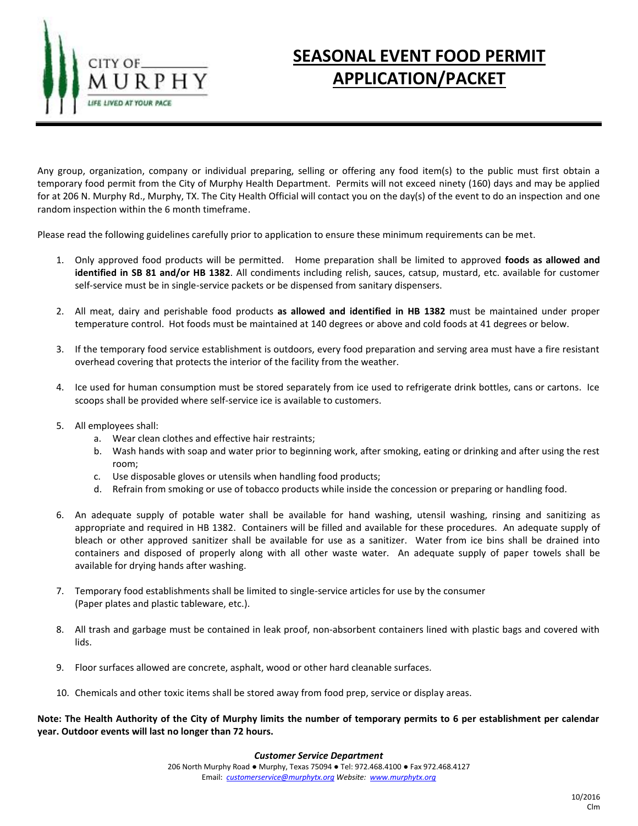

Any group, organization, company or individual preparing, selling or offering any food item(s) to the public must first obtain a temporary food permit from the City of Murphy Health Department. Permits will not exceed ninety (160) days and may be applied for at 206 N. Murphy Rd., Murphy, TX. The City Health Official will contact you on the day(s) of the event to do an inspection and one random inspection within the 6 month timeframe.

Please read the following guidelines carefully prior to application to ensure these minimum requirements can be met.

- 1. Only approved food products will be permitted. Home preparation shall be limited to approved **foods as allowed and identified in SB 81 and/or HB 1382**. All condiments including relish, sauces, catsup, mustard, etc. available for customer self-service must be in single-service packets or be dispensed from sanitary dispensers.
- 2. All meat, dairy and perishable food products **as allowed and identified in HB 1382** must be maintained under proper temperature control. Hot foods must be maintained at 140 degrees or above and cold foods at 41 degrees or below.
- 3. If the temporary food service establishment is outdoors, every food preparation and serving area must have a fire resistant overhead covering that protects the interior of the facility from the weather.
- 4. Ice used for human consumption must be stored separately from ice used to refrigerate drink bottles, cans or cartons. Ice scoops shall be provided where self-service ice is available to customers.
- 5. All employees shall:
	- a. Wear clean clothes and effective hair restraints;
	- b. Wash hands with soap and water prior to beginning work, after smoking, eating or drinking and after using the rest room;
	- c. Use disposable gloves or utensils when handling food products;
	- d. Refrain from smoking or use of tobacco products while inside the concession or preparing or handling food.
- 6. An adequate supply of potable water shall be available for hand washing, utensil washing, rinsing and sanitizing as appropriate and required in HB 1382. Containers will be filled and available for these procedures. An adequate supply of bleach or other approved sanitizer shall be available for use as a sanitizer. Water from ice bins shall be drained into containers and disposed of properly along with all other waste water. An adequate supply of paper towels shall be available for drying hands after washing.
- 7. Temporary food establishments shall be limited to single-service articles for use by the consumer (Paper plates and plastic tableware, etc.).
- 8. All trash and garbage must be contained in leak proof, non-absorbent containers lined with plastic bags and covered with lids.
- 9. Floor surfaces allowed are concrete, asphalt, wood or other hard cleanable surfaces.
- 10. Chemicals and other toxic items shall be stored away from food prep, service or display areas.

**Note: The Health Authority of the City of Murphy limits the number of temporary permits to 6 per establishment per calendar year. Outdoor events will last no longer than 72 hours.**

#### *Customer Service Department*